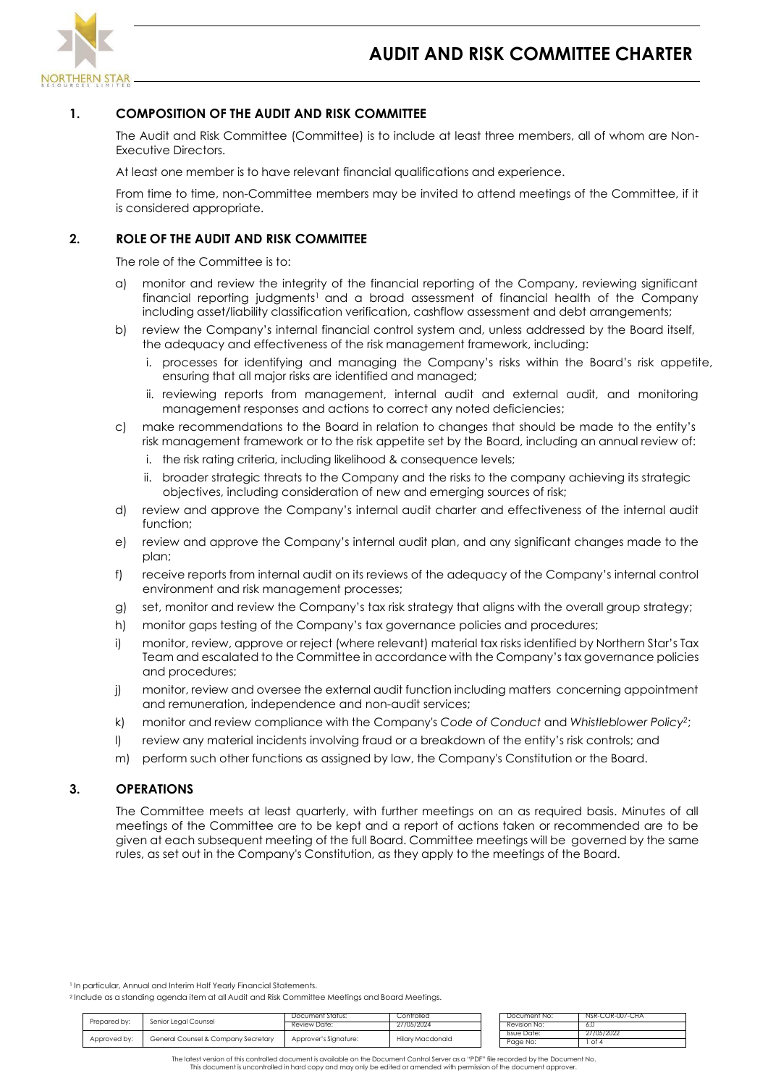

# **1. COMPOSITION OF THE AUDIT AND RISK COMMITTEE**

The Audit and Risk Committee (Committee) is to include at least three members, all of whom are Non-Executive Directors.

At least one member is to have relevant financial qualifications and experience.

From time to time, non-Committee members may be invited to attend meetings of the Committee, if it is considered appropriate.

## **2. ROLE OF THE AUDIT AND RISK COMMITTEE**

The role of the Committee is to:

- a) monitor and review the integrity of the financial reporting of the Company, reviewing significant financial reporting judgments<sup>1</sup> and a broad assessment of financial health of the Company including asset/liability classification verification, cashflow assessment and debt arrangements;
- b) review the Company's internal financial control system and, unless addressed by the Board itself, the adequacy and effectiveness of the risk management framework, including:
	- i. processes for identifying and managing the Company's risks within the Board's risk appetite, ensuring that all major risks are identified and managed;
	- ii. reviewing reports from management, internal audit and external audit, and monitoring management responses and actions to correct any noted deficiencies;
- c) make recommendations to the Board in relation to changes that should be made to the entity's risk management framework or to the risk appetite set by the Board, including an annual review of:
	- i. the risk rating criteria, including likelihood & consequence levels;
	- ii. broader strategic threats to the Company and the risks to the company achieving its strategic objectives, including consideration of new and emerging sources of risk;
- d) review and approve the Company's internal audit charter and effectiveness of the internal audit function;
- e) review and approve the Company's internal audit plan, and any significant changes made to the plan;
- f) receive reports from internal audit on its reviews of the adequacy of the Company's internal control environment and risk management processes;
- g) set, monitor and review the Company's tax risk strategy that aligns with the overall group strategy;
- h) monitor gaps testing of the Company's tax governance policies and procedures;
- i) monitor, review, approve or reject (where relevant) material tax risks identified by Northern Star's Tax Team and escalated to the Committee in accordance with the Company's tax governance policies and procedures;
- j) monitor, review and oversee the external audit function including matters concerning appointment and remuneration, independence and non-audit services;
- k) monitor and review compliance with the Company's *Code of Conduct* and *Whistleblower Policy<sup>2</sup>* ;
- l) review any material incidents involving fraud or a breakdown of the entity's risk controls; and
- m) perform such other functions as assigned by law, the Company's Constitution or the Board.

#### **3. OPERATIONS**

The Committee meets at least quarterly, with further meetings on an as required basis. Minutes of all meetings of the Committee are to be kept and a report of actions taken or recommended are to be given at each subsequent meeting of the full Board. Committee meetings will be governed by the same rules, as set out in the Company's Constitution, as they apply to the meetings of the Board.

<sup>1</sup> In particular, Annual and Interim Half Yearly Financial Statements.

<sup>2</sup> Include as a standing agenda item at all Audit and Risk Committee Meetings and Board Meetings.

|              | Senior Leaal Counsel<br>Review Date: | Document Status:      | Controlled       | Document No: | NSR-COR-007-CHA |
|--------------|--------------------------------------|-----------------------|------------------|--------------|-----------------|
| Prepared by: |                                      | 27/05/2024            | Revision No:     | -6.0         |                 |
|              | General Counsel & Company Secretary  | Approver's Signature: |                  | Issue Date:  | 27/05/2022      |
| Approved by: |                                      |                       | Hilary Macdonald | Page No:     |                 |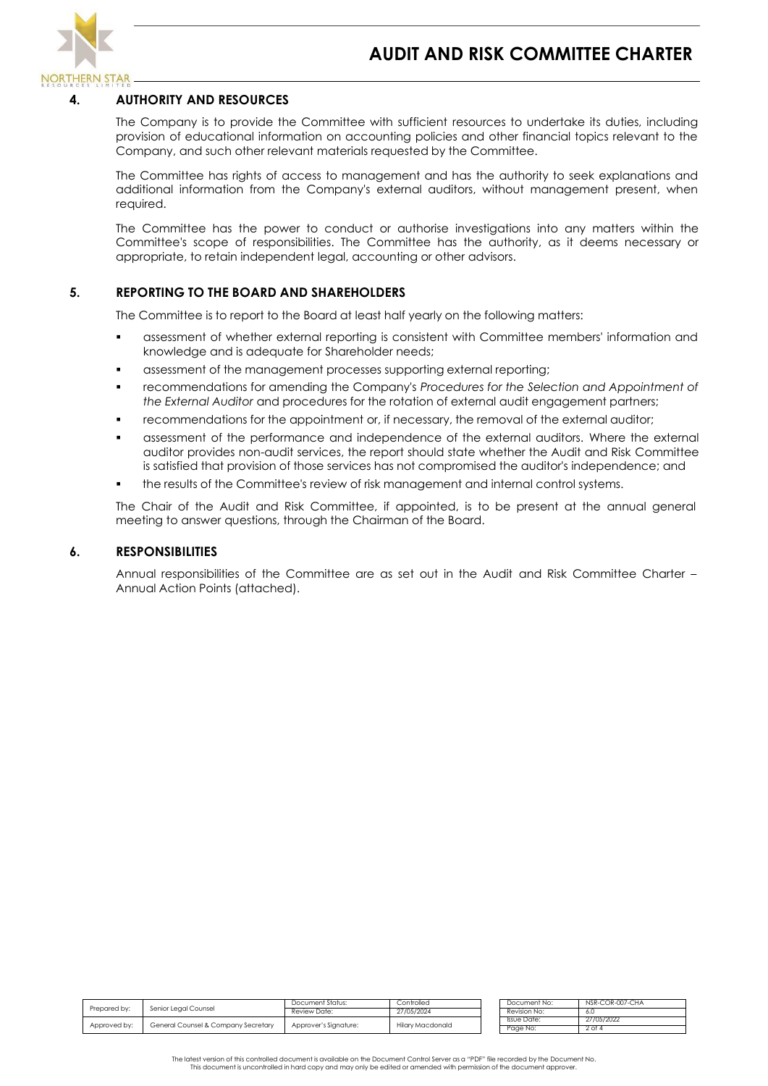

# **4. AUTHORITY AND RESOURCES**

The Company is to provide the Committee with sufficient resources to undertake its duties, including provision of educational information on accounting policies and other financial topics relevant to the Company, and such other relevant materials requested by the Committee.

The Committee has rights of access to management and has the authority to seek explanations and additional information from the Company's external auditors, without management present, when required.

The Committee has the power to conduct or authorise investigations into any matters within the Committee's scope of responsibilities. The Committee has the authority, as it deems necessary or appropriate, to retain independent legal, accounting or other advisors.

## **5. REPORTING TO THE BOARD AND SHAREHOLDERS**

The Committee is to report to the Board at least half yearly on the following matters:

- assessment of whether external reporting is consistent with Committee members' information and knowledge and is adequate for Shareholder needs;
- assessment of the management processes supporting external reporting;
- recommendations for amending the Company's *Procedures for the Selection and Appointment of the External Auditor* and procedures for the rotation of external audit engagement partners;
- recommendations for the appointment or, if necessary, the removal of the external auditor;
- assessment of the performance and independence of the external auditors. Where the external auditor provides non-audit services, the report should state whether the Audit and Risk Committee is satisfied that provision of those services has not compromised the auditor's independence; and
- the results of the Committee's review of risk management and internal control systems.

The Chair of the Audit and Risk Committee, if appointed, is to be present at the annual general meeting to answer questions, through the Chairman of the Board.

#### **6. RESPONSIBILITIES**

Annual responsibilities of the Committee are as set out in the Audit and Risk Committee Charter – Annual Action Points (attached).

|              | Senior Leaal Counsel                | Document Status:      | Controlled              | Document No: | NSR-COR-007-CHA |
|--------------|-------------------------------------|-----------------------|-------------------------|--------------|-----------------|
| Prepared by: |                                     | Review Date:          | 27/05/2024              | Revision No: | -6.U            |
|              |                                     |                       |                         | Issue Date:  | 27/05/2022      |
| Approved by: | General Counsel & Company Secretary | Approver's Signature: | <b>Hilary Macdonald</b> | Page No:     | $2$ of $4$      |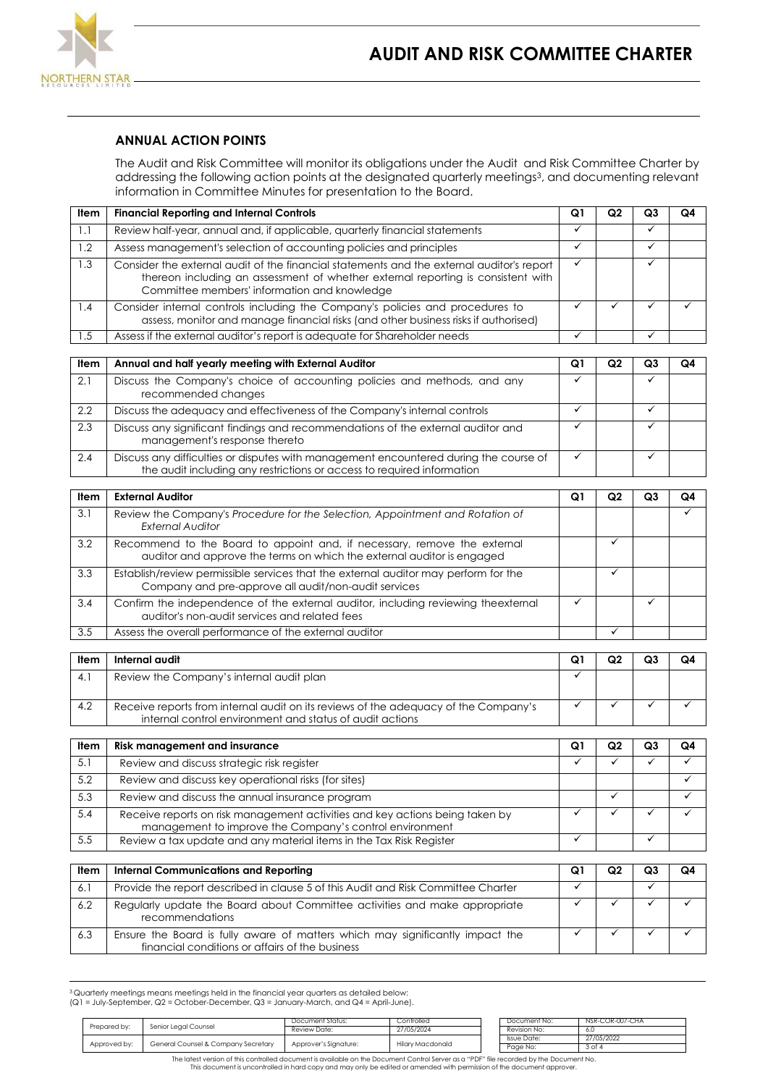

## **ANNUAL ACTION POINTS**

The Audit and Risk Committee will monitor its obligations under the Audit and Risk Committee Charter by addressing the following action points at the designated quarterly meetings<sup>3</sup>, and documenting relevant information in Committee Minutes for presentation to the Board.

| Item | <b>Financial Reporting and Internal Controls</b>                                                                                                                                                                              | Q1           | Q2 | Q3 | Q4 |
|------|-------------------------------------------------------------------------------------------------------------------------------------------------------------------------------------------------------------------------------|--------------|----|----|----|
| 1.1  | Review half-year, annual and, if applicable, quarterly financial statements                                                                                                                                                   | ✓            |    | ✓  |    |
| 1.2  | Assess management's selection of accounting policies and principles                                                                                                                                                           | ✓            |    | ✓  |    |
| 1.3  | Consider the external audit of the financial statements and the external auditor's report<br>thereon including an assessment of whether external reporting is consistent with<br>Committee members' information and knowledge | $\checkmark$ |    | ✓  |    |
| 1.4  | Consider internal controls including the Company's policies and procedures to<br>assess, monitor and manage financial risks (and other business risks if authorised)                                                          | ✓            |    |    |    |
| 1.5  | Assess if the external auditor's report is adequate for Shareholder needs                                                                                                                                                     | ✓            |    | ✓  |    |
|      |                                                                                                                                                                                                                               |              |    |    |    |
| Item | Annual and half yearly meeting with External Auditor                                                                                                                                                                          | Q1           | Q2 | Q3 | Q4 |
| 2.1  | Discuss the Company's choice of accounting policies and methods, and any<br>recommended changes                                                                                                                               | ✓            |    | ✓  |    |
| 2.2  | Discuss the adequacy and effectiveness of the Company's internal controls                                                                                                                                                     | ✓            |    | ✓  |    |
| 2.3  | Discuss any significant findings and recommendations of the external auditor and<br>isa sun sun isa sa iskla wa sun a isa sa kabana ka-                                                                                       | ✓            |    | ✓  |    |

| management's response thereto                                                         |  |  |
|---------------------------------------------------------------------------------------|--|--|
| Discuss any difficulties or disputes with management encountered during the course of |  |  |
| the audit including any restrictions or access to required information                |  |  |

| Item | <b>External Auditor</b>                                                                                                                            | Q1 | Q2 | Q3 | Q4 |
|------|----------------------------------------------------------------------------------------------------------------------------------------------------|----|----|----|----|
| 3.1  | Review the Company's Procedure for the Selection, Appointment and Rotation of<br>External Auditor                                                  |    |    |    |    |
| 3.2  | Recommend to the Board to appoint and, if necessary, remove the external<br>auditor and approve the terms on which the external auditor is engaged |    |    |    |    |
| 3.3  | Establish/review permissible services that the external auditor may perform for the<br>Company and pre-approve all audit/non-audit services        |    |    |    |    |
| 3.4  | Confirm the independence of the external auditor, including reviewing theexternal<br>auditor's non-audit services and related fees                 |    |    |    |    |
| 3.5  | Assess the overall performance of the external auditor                                                                                             |    |    |    |    |

| Item | Internal audit                                                                                                                                  | Q1 | Q2 | Q3 | Q4 |
|------|-------------------------------------------------------------------------------------------------------------------------------------------------|----|----|----|----|
| 4.   | Review the Company's internal audit plan                                                                                                        |    |    |    |    |
| 4.2  | Receive reports from internal audit on its reviews of the adequacy of the Company's<br>internal control environment and status of audit actions |    |    |    |    |

| ltem | <b>Risk management and insurance</b>                                                                                                    | Q1 | Q2 | Q3 | Q4 |
|------|-----------------------------------------------------------------------------------------------------------------------------------------|----|----|----|----|
| 5.1  | Review and discuss strategic risk register                                                                                              |    |    |    |    |
| 5.2  | Review and discuss key operational risks (for sites)                                                                                    |    |    |    |    |
| 5.3  | Review and discuss the annual insurance program                                                                                         |    |    |    |    |
| 5.4  | Receive reports on risk management activities and key actions being taken by<br>management to improve the Company's control environment |    |    |    |    |
| 5.5  | Review a tax update and any material items in the Tax Risk Register                                                                     |    |    |    |    |

| Item | <b>Internal Communications and Reporting</b>                                                                                     | Q1 | Q2 | Q3 | Q4 |
|------|----------------------------------------------------------------------------------------------------------------------------------|----|----|----|----|
| 6.1  | Provide the report described in clause 5 of this Audit and Risk Committee Charter                                                |    |    |    |    |
| 6.2  | Regularly update the Board about Committee activities and make appropriate<br>recommendations                                    |    |    |    |    |
| 6.3  | Ensure the Board is fully aware of matters which may significantly impact the<br>financial conditions or affairs of the business |    |    |    |    |

<sup>3</sup>Quarterly meetings means meetings held in the financial year quarters as detailed below: (Q1 = July-September, Q2 = October-December, Q3 = January-March, and Q4 = April-June).

|              |                                     | Document Status:      | Controlled       | Document No: | NSR-COR-007-CHA |
|--------------|-------------------------------------|-----------------------|------------------|--------------|-----------------|
| Prepared by: | Senior Leaal Counsel                | Review Date:          | 27/05/2024       | Revision No: |                 |
|              |                                     |                       |                  | Issue Date:  | 27/05/2022      |
| Approved by: | General Counsel & Company Secretary | Approver's Signature: | Hilary Macdonald | Page No:     | 3 of 4          |

The latest version of this controlled document is available on the Document Control Server as a "PDF" file recorded by the Document No.<br>This document is uncontrolled in hard copy and may only be edited or amended with perm